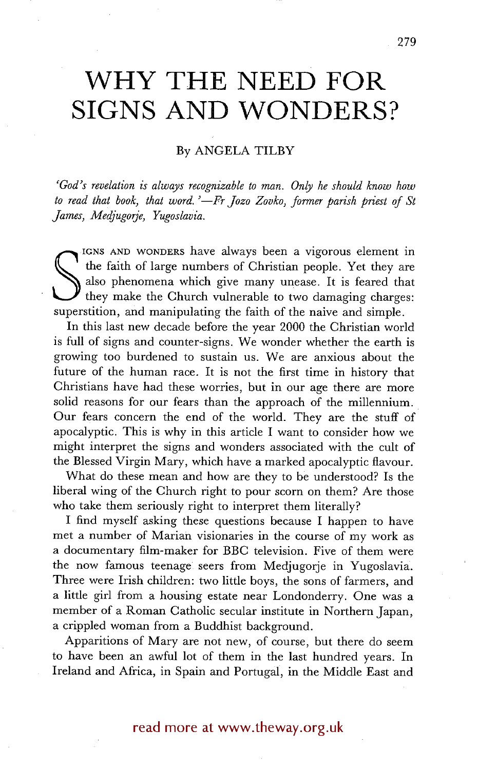# **WHY THE NEED FOR SIGNS AND WONDERS?**

## By ANGELA TILBY

*'God's revelation is always recognizable to man. Only he should know how to read that book, that word. '--Fr Jozo Zovko, former parish priest of St James, Medjugorje, Yugoslavia.* 

also phenomena which give many unease. It is feared that they make the Church vulnerable to two damaging charges superstition, and manipulating the faith of the naive and simple. IGNS AND WONDERS have always been a vigorous element in the faith of large numbers of Christian people. Yet they are also phenomena which give many unease. It is feared that they make the Church vulnerable to two damaging charges:

In this last new decade before the year 2000 the Christian world is full of signs and counter-signs. We wonder whether the earth is growing too burdened to sustain us. We are anxious about the future of the human race. It is not the first time in history that Christians have had these worries, but in our age there are more solid reasons for our fears than the approach of the millennium. Our fears concern the end of the world. They are the stuff of apocalyptic. This is why in this article I want to consider how we might interpret the signs and wonders associated with the cult of the Blessed Virgin Mary, which have a marked apocalyptic flavour.

What do these mean and how are they to be understood? Is the liberal wing of the Church right to pour scorn on them? Are those who take them seriously right to interpret them literally?

I find myself asking these questions because I happen to have met a number of Marian visionaries in the course of my work as a documentary film-maker for BBC television. Five of them were the now famous teenage seers from Medjugorje in Yugoslavia. Three were Irish children: two little boys, the sons of farmers, and a little girl from a housing estate near Londonderry. One was a member of a Roman Catholic secular institute in Northern Japan, a crippled woman from a Buddhist background.

Apparitions of Mary are not new, of course, but there do seem to have been an awful lot of them in the last hundred years. In Ireland and Africa, in Spain and Portugal, in the Middle East and

## read more at www.theway.org.uk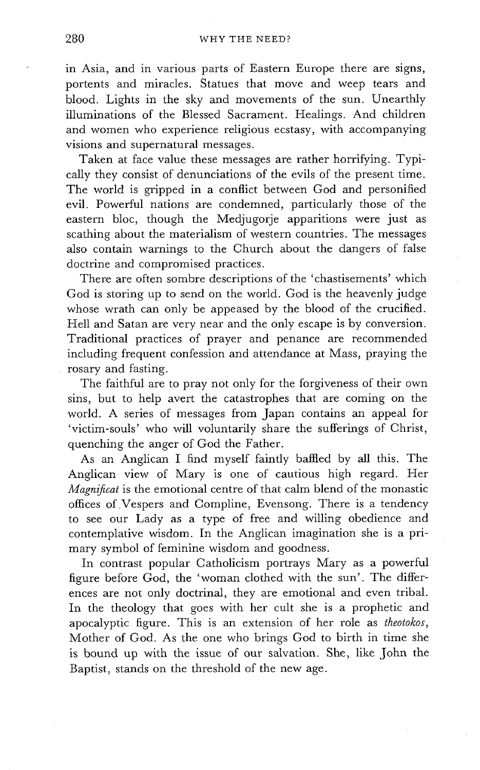in Asia, and in various parts of Eastern Europe there are signs, portents and miracles. Statues that move and weep tears and blood. Lights in the sky and movements of the sun. Unearthly illuminations of the Blessed Sacrament. Healings. And children and women who experience religious ecstasy, with accompanying visions and supernatural messages.

Taken at face value these messages are rather horrifying. Typically they consist of denunciations of the evils of the present time. The world is gripped in a conflict between God and personified evil. Powerful nations are condemned, particularly those of the eastern bloc, though the Medjugorje apparitions were just as scathing about the materialism of western countries. The messages also contain warnings to the Church about the dangers of false doctrine and compromised practices.

There are often sombre descriptions of the 'chastisements' which God is storing up to send on the world. God is the heavenly judge whose wrath can only be appeased by the blood of the crucified. Hell and Satan are very near and the only escape is by conversion. Traditional practices of prayer and penance are recommended including frequent confession and attendance at Mass, praying the rosary and fasting.

The faithful are to pray not only for the forgiveness of their own sins, but to help avert the catastrophes that are coming on the world. A series of messages from Japan contains an appeal for 'victim-souls' who will voluntarily share the sufferings of Christ, quenching the anger of God the Father.

As an Anglican I find myself faintly baffled by all this. The Anglican view of Mary is one of cautious high regard. Her *Magnifical* is the emotional centre of that calm blend of the monastic offices of Vespers and Compline, Evensong. There is a tendency to see our Lady as a type of free and willing obedience and contemplative wisdom. In the Anglican imagination she is a primary symbol of feminine wisdom and goodness.

In contrast popular Catholicism portrays Mary as a powerful figure before God, the 'woman clothed with the sun'. The differences are not only doctrinal, they are emotional and even tribal. In the theology that goes with her cult she is a prophetic and apocalyptic figure. This is an extension of her role as *theotokos*, Mother of God. As the one who brings God to birth in time she is bound up with the issue of our salvation. She, like John the Baptist, stands on the threshold of the new age.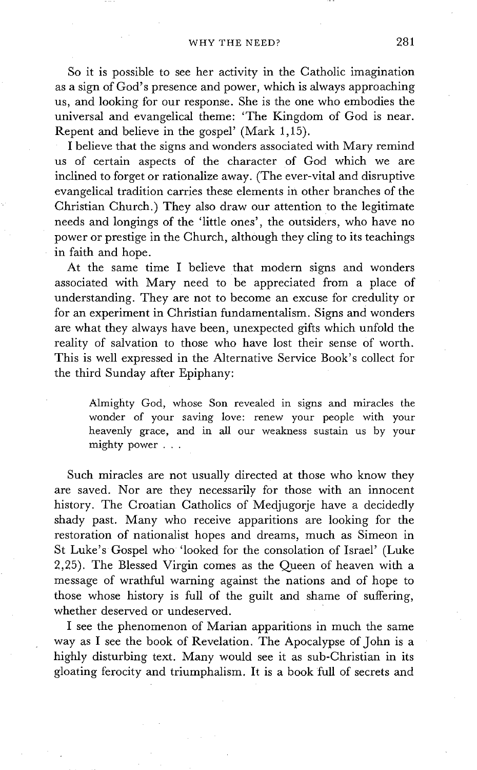So it is possible to see her activity in the Catholic imagination as a sign of God's presence and power, which is always approaching us, and looking for our response. She is the one who embodies the universal and evangelical theme: 'The Kingdom of God is near. Repent and believe in the gospel' (Mark 1,15).

I believe that the signs and wonders associated with Mary remind us of certain aspects of the character of God which we are inclined to forget or rationalize away. (The ever-vital and disruptive evangelical tradition carries these elements in other branches of the Christian Church.) They also draw our attention to the legitimate needs and longings of the 'little ones', the outsiders, who have no power or prestige in the Church, although they cling to its teachings in faith and hope.

At the same time I believe that modern signs and wonders associated with Mary need to be appreciated from a place of understanding. They are not to become an excuse for credulity or for an experiment in Christian fundamentalism. Signs and wonders are what they always have been, unexpected gifts which unfold the reality of salvation to those who have lost their sense of worth. This is well expressed in the Alternative Service Book's collect for the third Sunday after Epiphany:

Almighty God, whose Son revealed in signs and miracles the wonder of your saving love: renew your people with your heavenly grace, and in all our weakness sustain us by your mighty power . . .

Such miracles are not usually directed at those who know they are saved. Nor are they necessarily for those with an innocent history. The Croatian Catholics of Medjugorje have a decidedly shady past. Many who receive apparitions are looking for the restoration of nationalist hopes and dreams, much as Simeon in St Luke's Gospel who 'looked for the consolation of Israel' (Luke 2,25). The Blessed Virgin comes as the Queen of heaven with a message of wrathful warning against the nations and of hope to those whose history is full of the guilt and shame of suffering, whether deserved or undeserved.

I see the phenomenon of Marian apparitions in much the same way as I see the book of Revelation. The Apocalypse of John is a highly disturbing text. Many would see it as sub-Christian in its gloating ferocity and triumphalism. It is a book full of secrets and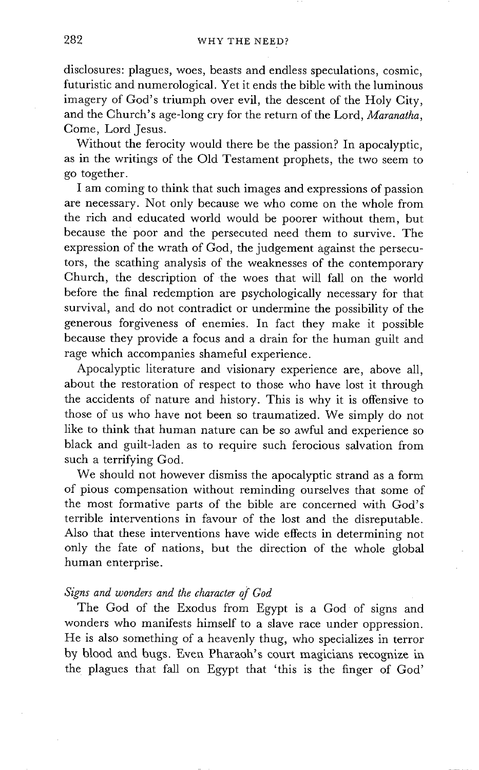disclosures: plagues, woes, beasts and endless speculations, cosmic, futuristic and numerological. Yet it ends the bible with the luminous imagery of God's triumph over evil, the descent of the Holy City, and the Church's age-long cry for the return of the Lord, *Maranatha,*  Come, Lord Jesus.

Without the ferocity would there be the passion? In apocalyptic, as in the writings of the Old Testament prophets, the two seem to go together.

I am coming to think that such images and expressions of passion are necessary. Not only because we who come on the whole from the rich and educated world would be poorer without them, but because the poor and the persecuted need them to survive. The expression of the wrath of God, the judgement against the persecutors, the scathing analysis of the weaknesses of the contemporary Church, the description of the woes that will fall on the world before the final redemption are psychologically necessary for that survival, and do not contradict or undermine the possibility of the generous forgiveness of enemies. In fact they make it possible because they provide a focus and a drain for the human guilt and rage which accompanies shameful experience.

Apocalyptic literature and visionary experience are, above all, about the restoration of respect to those who have lost it through the accidents of nature and history. This is why it is offensive to those of us who have not been so traumatized. We simply do not like to think that human nature can be so awful and experience so black and guilt-laden as to require such ferocious salvation from such a terrifying God.

We should not however dismiss the apocalyptic strand as a form of pious compensation without reminding ourselves that some of the most formative parts of the bible are concerned with God's terrible interventions in favour of the lost and the disreputable. Also that these interventions have wide effects in determining not only the fate of nations, but the direction of the whole global human enterprise.

## *Signs and wonders and the character of God*

The God of the Exodus from Egypt is a God of signs and wonders who manifests himself to a slave race under oppression. He is also something of a heavenly thug, who specializes in terror by blood and bugs. Even Pharaoh's court magicians recognize in the plagues that fall on Egypt that 'this is the finger of God'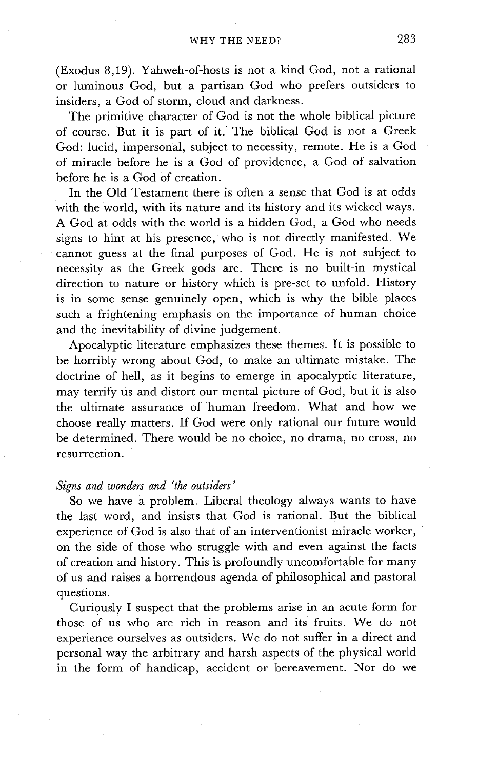(Exodus 8,19). Yahweh-of-hosts is not a kind God, not a rational or luminous God, but a partisan God who prefers outsiders to insiders, a God of storm, cloud and darkness.

The primitive character of God is not the whole biblical picture of course. But it is part of it. The biblical God is not a Greek God: lucid, impersonal, subject to necessity, remote. He is a God of miracle before he is a God of providence, a God of salvation before he is a God of creation.

In the Old Testament there is often a sense that God is at odds with the world, with its nature and its history and its wicked ways. A God at odds with the world is a hidden God, a God who needs signs to hint at his presence, who is not directly manifested. We cannot guess at the final purposes of God. He is not subject to necessity as the Greek gods are. There is no built-in mystical direction to nature or history which is pre-set to unfold. History is in some sense genuinely open, which is why the bible places such a frightening emphasis on the importance of human choice and the inevitability of divine judgement.

Apocalyptic literature emphasizes these themes. It is possible to be horribly wrong about God, to make an ultimate mistake. The doctrine of hell, as it begins to emerge in apocalyptic literature, may terrify us and distort our mental picture of God, but it is also the ultimate assurance of human freedom. What and how we choose really matters. If God were only rational our future would be determined. There would be no choice, no drama, no cross, no resurrection.

#### *Signs and wonders and 'the outsiders'*

So we have a problem. Liberal theology always wants to have the last word, and insists that God is rational. But the biblical experience of God is also that of an interventionist miracle worker, on the side of those who struggle with and even against the facts of creation and history. This is profoundly uncomfortable for many of us and raises a horrendous agenda of philosophical and pastoral questions.

Curiously I suspect that the problems arise in an acute form for those of us who are rich in reason and its fruits. We do not experience ourselves as outsiders. We do not suffer in a direct and personal way the arbitrary and harsh aspects of the physical world in the form of handicap, accident or bereavement. Nor do we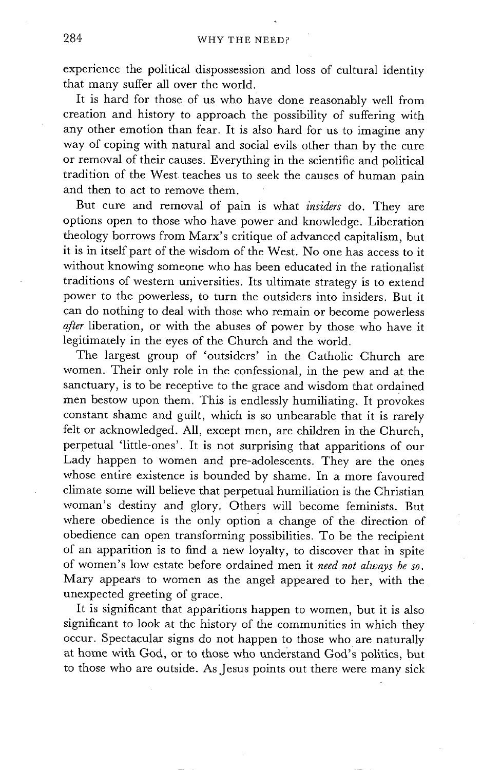experience the political dispossession and loss of cultural identity that many suffer all over the world.

It is hard for those of us who have done reasonably well from creation and history to approach the possibility of suffering with any other emotion than fear. It is also hard for us to imagine any way of coping with natural and social evils other than by the cure or removal of their causes. Everything in the scientific and political tradition of the West teaches us to seek the causes of human pain and then to act to remove them.

But cure and removal of pain is what *insiders* do. They are options open to those who have power and knowledge. Liberation theology borrows from Marx's critique of advanced capitalism, but it is in itself part of the wisdom of the West. No one has access to it without knowing someone who has been educated in the rationalist traditions of western universities. Its ultimate strategy is to extend power to the powerless, to turn the outsiders into insiders. But it can do nothing to deal with those who remain or become powerless *after* liberation, or with the abuses of power by those who have it legitimately in the eyes of the Church and the world.

The largest group of 'outsiders' in the Catholic Church are women. Their only role in the confessional, in the pew and at the sanctuary, is to be receptive to the grace and wisdom that ordained men bestow upon them. This is endlessly humiliating. It provokes constant shame and guilt, which is so unbearable that it is rarely felt or acknowledged. All, except men, are children in the Church, perpetual 'little-ones'. It is not surprising that apparitions of our Lady happen to women and pre-adolescents. They are the ones whose entire existence is bounded by shame. In a more favoured climate some will believe that perpetual humiliation is the Christian woman's destiny and glory. Others will become feminists. But where obedience is the only option a change of the direction of obedience can open transforming possibilities. To be the recipient of an apparition is to find a new loyalty, to discover that in spite of women's low estate before ordained men it *need not always be so.*  Mary appears to women as the anget appeared to her, with the unexpected greeting of grace.

It is significant that apparitions happen to women, but it is also significant to look at the history of the communities in which they occur. Spectacular signs do not happen to those who are naturally at home with God, or to those who understand God's politics, but to those who are outside. As Jesus points out there were many sick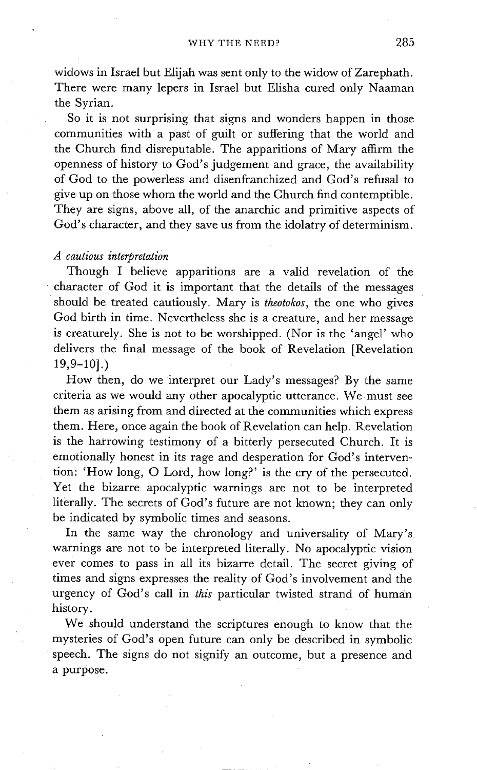widows in Israel but Elijah was sent only to the widow of Zarephath. There were many lepers in Israel but Elisha cured only Naaman the Syrian.

So it is not surprising that signs and wonders happen in those communities with a past of guilt or suffering that the world and the Church find disreputable. The apparitions of Mary affirm the openness of history to God's judgement and grace, the availability of God to the powerless and disenfranchized and God's refusal to give up on those whom the world and the Church find contemptible. They are signs, above all, of the anarchic and primitive aspects of God's character, and they save us from the idolatry of determinism.

#### *A cautious interpretation*

Though I believe apparitions are a valid revelation of the character of God it is important that the details of the messages should be treated cautiously. Mary is *theotokos,* the one who gives God birth in time. Nevertheless she is a creature, and her message is creaturely. She is not to be worshipped. (Nor is the 'angel' who delivers the final message of the book of Revelation [Revelation 19,9-101.)

How then, do we interpret our Lady's messages? By the same criteria as we would any other apocalyptic utterance. We must see them as arising from and directed at the communities which express them. Here, once again the book of Revelation can help. Revelation is the harrowing testimony of a bitterly persecuted Church. It is emotionally honest in its rage and desperation for God's intervention: 'How long, O Lord, how long?' is the cry of the persecuted. Yet the bizarre apocalyptic warnings are not to be interpreted literally. The secrets of God's future are not known; they can only be indicated by symbolic times and seasons.

In the same way the chronology and universality of Mary's. warnings are not to be interpreted literally. No apocalyptic vision ever comes to pass in all its bizarre detail. The secret giving of times and signs expresses the reality of God's involvement and the urgency of God's call in *this* particular twisted strand of human history.

We should understand the scriptures enough to know that the mysteries of God's open future can only be described in symbolic speech. The signs do not signify an outcome, but a presence and a purpose.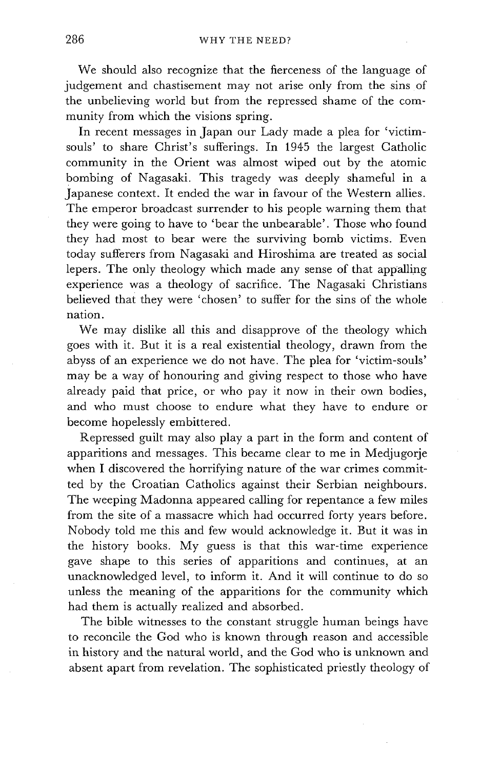We should also recognize that the fierceness of the language of judgement and chastisement may not arise only from the sins of the unbelieving world but from the repressed shame of the community from which the visions spring.

In recent messages in Japan our Lady made a plea for 'victimsouls' to share Christ's sufferings. In 1945 the largest Catholic community in the Orient was almost wiped out by the atomic bombing of Nagasaki. This tragedy was deeply shameful in a Japanese context. It ended the war in favour of the Western allies. The emperor broadcast surrender to his people warning them that they were going to have to 'bear the unbearable'. Those who found they had most to bear were the surviving bomb victims. Even today sufferers from Nagasaki and Hiroshima are treated as social lepers. The only theology which made any sense of that appalling experience was a theology of sacrifice. The Nagasaki Christians believed that they were 'chosen' to suffer for the sins of the whole nation.

We may dislike all this and disapprove of the theology which goes with it. But it is a real existential theology, drawn from the abyss of an experience we do not have. The plea for 'victim-souls' may be a way of honouring and giving respect to those who have already paid that price, or who pay it now in their own bodies, and who must choose to endure what they have to endure or become hopelessly embittered.

Repressed guilt may also play a part in the form and content of apparitions and messages. This became clear to me in Medjugorje when I discovered the horrifying nature of the war crimes committed by the Croatian Catholics against their Serbian neighbours. The weeping Madonna appeared calling for repentance a few miles from the site of a massacre which had occurred forty years before. Nobody told me this and few would acknowledge it. But it was in the history books. My guess is that this war-time experience gave shape to this series of apparitions and continues, at an unacknowledged level, to inform it. And it will continue to do so unless the meaning of the apparitions for the community which had them is actually realized and absorbed.

The bible witnesses to the constant struggle human beings have to reconcile the God who is known through reason and accessible in history and the natural world, and the God who is unknown and absent apart from revelation. The sophisticated priestly theology of